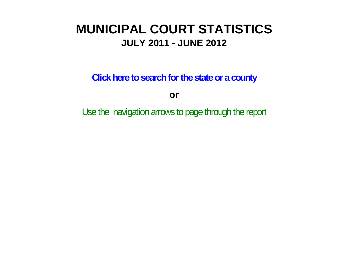# **MUNICIPAL COURT STATISTICSJULY 2011 - JUNE 2012**

**Click here to search for the state or a county**

**or**

Use the navigation arrows to page through the report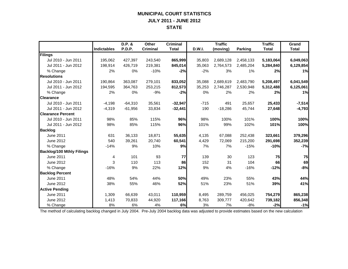## **MUNICIPAL COURT STATISTICS JULY 2011 - JUNE 2012 STATE**

|                                  |                    | D.P. &    | Other           | <b>Criminal</b> |        | <b>Traffic</b> |                | <b>Traffic</b> | Grand        |
|----------------------------------|--------------------|-----------|-----------------|-----------------|--------|----------------|----------------|----------------|--------------|
|                                  | <b>Indictables</b> | P.D.P.    | <b>Criminal</b> | <b>Total</b>    | D.W.I. | (moving)       | <b>Parking</b> | <b>Total</b>   | <b>Total</b> |
| Filings                          |                    |           |                 |                 |        |                |                |                |              |
| Jul 2010 - Jun 2011              | 195,062            | 427,397   | 243,540         | 865,999         | 35,803 | 2,689,128      | 2,458,133      | 5,183,064      | 6,049,063    |
| Jul 2011 - Jun 2012              | 198,914            | 426,719   | 219,381         | 845,014         | 35,063 | 2,764,573      | 2,485,204      | 5,284,840      | 6,129,854    |
| % Change                         | 2%                 | 0%        | $-10%$          | $-2%$           | $-2%$  | 3%             | $1\%$          | 2%             | 1%           |
| <b>Resolutions</b>               |                    |           |                 |                 |        |                |                |                |              |
| Jul 2010 - Jun 2011              | 190,864            | 363,087   | 279,101         | 833,052         | 35,088 | 2,689,619      | 2,483,790      | 5,208,497      | 6,041,549    |
| Jul 2011 - Jun 2012              | 194,595            | 364,763   | 253,215         | 812,573         | 35,253 | 2,746,287      | 2,530,948      | 5,312,488      | 6,125,061    |
| % Change                         | 2%                 | 0%        | $-9%$           | $-2%$           | 0%     | 2%             | 2%             | 2%             | 1%           |
| <b>Clearance</b>                 |                    |           |                 |                 |        |                |                |                |              |
| Jul 2010 - Jun 2011              | $-4,198$           | $-64,310$ | 35,561          | $-32,947$       | $-715$ | 491            | 25,657         | 25,433         | $-7,514$     |
| Jul 2011 - Jun 2012              | $-4,319$           | $-61,956$ | 33,834          | $-32,441$       | 190    | $-18,286$      | 45,744         | 27,648         | $-4,793$     |
| <b>Clearance Percent</b>         |                    |           |                 |                 |        |                |                |                |              |
| Jul 2010 - Jun 2011              | 98%                | 85%       | 115%            | 96%             | 98%    | 100%           | 101%           | 100%           | 100%         |
| Jul 2011 - Jun 2012              | 98%                | 85%       | 115%            | 96%             | 101%   | 99%            | 102%           | 101%           | 100%         |
| <b>Backlog</b>                   |                    |           |                 |                 |        |                |                |                |              |
| <b>June 2011</b>                 | 631                | 36,133    | 18,871          | 55,635          | 4,135  | 67,088         | 252,438        | 323,661        | 379,296      |
| June 2012                        | 540                | 39,261    | 20,740          | 60,541          | 4,429  | 72,069         | 215,200        | 291,698        | 352,239      |
| % Change                         | $-14%$             | 9%        | 10%             | 9%              | 7%     | 7%             | $-15%$         | $-10%$         | $-7%$        |
| <b>Backlog/100 Mthly Filings</b> |                    |           |                 |                 |        |                |                |                |              |
| <b>June 2011</b>                 | 4                  | 101       | 93              | 77              | 139    | 30             | 123            | 75             | 75           |
| June 2012                        | 3                  | 110       | 113             | 86              | 152    | 31             | 104            | 66             | 69           |
| % Change                         | $-16%$             | 9%        | 22%             | 12%             | 9%     | 4%             | $-16%$         | $-12%$         | $-8%$        |
| <b>Backlog Percent</b>           |                    |           |                 |                 |        |                |                |                |              |
| <b>June 2011</b>                 | 48%                | 54%       | 44%             | 50%             | 49%    | 23%            | 55%            | 43%            | 44%          |
| June 2012                        | 38%                | 55%       | 46%             | 52%             | 51%    | 23%            | 51%            | 39%            | 41%          |
| <b>Active Pending</b>            |                    |           |                 |                 |        |                |                |                |              |
| June 2011                        | 1,309              | 66,639    | 43,011          | 110,959         | 8,495  | 289,759        | 456,025        | 754,279        | 865,238      |
| June 2012                        | 1,413              | 70,833    | 44,920          | 117,166         | 8,763  | 309,777        | 420,642        | 739,182        | 856,348      |
| % Change                         | 8%                 | 6%        | 4%              | 6%              | 3%     | 7%             | $-8%$          | $-2%$          | $-1%$        |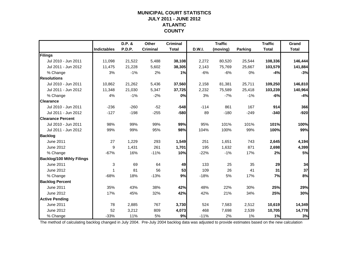### **MUNICIPAL COURT STATISTICSJULY 2011 - JUNE 2012 ATLANTIC COUNTY**

|                                  |                    | D.P. &        | Other           | <b>Criminal</b> |        | <b>Traffic</b> |                | <b>Traffic</b> | Grand        |
|----------------------------------|--------------------|---------------|-----------------|-----------------|--------|----------------|----------------|----------------|--------------|
|                                  | <b>Indictables</b> | <b>P.D.P.</b> | <b>Criminal</b> | <b>Total</b>    | D.W.I. | (moving)       | <b>Parking</b> | <b>Total</b>   | <b>Total</b> |
| Filings                          |                    |               |                 |                 |        |                |                |                |              |
| Jul 2010 - Jun 2011              | 11,098             | 21,522        | 5,488           | 38,108          | 2,272  | 80,520         | 25,544         | 108,336        | 146,444      |
| Jul 2011 - Jun 2012              | 11,475             | 21,228        | 5,602           | 38,305          | 2,143  | 75,769         | 25,667         | 103,579        | 141,884      |
| % Change                         | 3%                 | $-1%$         | 2%              | 1%              | $-6%$  | $-6%$          | 0%             | $-4%$          | $-3%$        |
| <b>Resolutions</b>               |                    |               |                 |                 |        |                |                |                |              |
| Jul 2010 - Jun 2011              | 10,862             | 21,262        | 5,436           | 37,560          | 2,158  | 81,381         | 25,711         | 109,250        | 146,810      |
| Jul 2011 - Jun 2012              | 11,348             | 21,030        | 5,347           | 37,725          | 2,232  | 75,589         | 25,418         | 103,239        | 140,964      |
| % Change                         | 4%                 | $-1%$         | $-2%$           | 0%              | 3%     | $-7%$          | $-1%$          | $-6%$          | $-4%$        |
| <b>Clearance</b>                 |                    |               |                 |                 |        |                |                |                |              |
| Jul 2010 - Jun 2011              | $-236$             | $-260$        | $-52$           | $-548$          | $-114$ | 861            | 167            | 914            | 366          |
| Jul 2011 - Jun 2012              | $-127$             | $-198$        | $-255$          | $-580$          | 89     | $-180$         | $-249$         | $-340$         | $-920$       |
| <b>Clearance Percent</b>         |                    |               |                 |                 |        |                |                |                |              |
| Jul 2010 - Jun 2011              | 98%                | 99%           | 99%             | 99%             | 95%    | 101%           | 101%           | 101%           | 100%         |
| Jul 2011 - Jun 2012              | 99%                | 99%           | 95%             | 98%             | 104%   | 100%           | 99%            | 100%           | 99%          |
| <b>Backlog</b>                   |                    |               |                 |                 |        |                |                |                |              |
| <b>June 2011</b>                 | 27                 | 1,229         | 293             | 1,549           | 251    | 1,651          | 743            | 2,645          | 4,194        |
| June 2012                        | 9                  | 1,431         | 261             | 1,701           | 195    | 1,632          | 871            | 2,698          | 4,399        |
| % Change                         | $-67%$             | 16%           | $-11%$          | 10%             | $-22%$ | $-1%$          | 17%            | 2%             | 5%           |
| <b>Backlog/100 Mthly Filings</b> |                    |               |                 |                 |        |                |                |                |              |
| <b>June 2011</b>                 | 3                  | 69            | 64              | 49              | 133    | 25             | 35             | 29             | 34           |
| June 2012                        | $\mathbf{1}$       | 81            | 56              | 53              | 109    | 26             | 41             | 31             | 37           |
| % Change                         | $-68%$             | 18%           | $-13%$          | 9%              | $-18%$ | 5%             | 17%            | 7%             | 8%           |
| <b>Backlog Percent</b>           |                    |               |                 |                 |        |                |                |                |              |
| June 2011                        | 35%                | 43%           | 38%             | 42%             | 48%    | 22%            | 30%            | 25%            | 29%          |
| June 2012                        | 17%                | 45%           | 32%             | 42%             | 42%    | 21%            | 34%            | 25%            | 30%          |
| <b>Active Pending</b>            |                    |               |                 |                 |        |                |                |                |              |
| <b>June 2011</b>                 | 78                 | 2,885         | 767             | 3,730           | 524    | 7,583          | 2,512          | 10,619         | 14,349       |
| June 2012                        | 52                 | 3,212         | 809             | 4,073           | 468    | 7,698          | 2,539          | 10,705         | 14,778       |
| % Change                         | $-33%$             | 11%           | 5%              | 9%              | $-11%$ | 2%             | 1%             | 1%             | 3%           |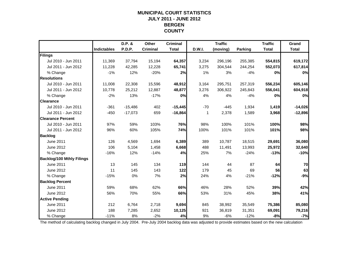### **MUNICIPAL COURT STATISTICSJULY 2011 - JUNE 2012 BERGEN COUNTY**

|                                  |                    | D.P. &    | Other           | <b>Criminal</b> |               | <b>Traffic</b> |         | <b>Traffic</b> | Grand        |
|----------------------------------|--------------------|-----------|-----------------|-----------------|---------------|----------------|---------|----------------|--------------|
|                                  | <b>Indictables</b> | P.D.P.    | <b>Criminal</b> | <b>Total</b>    | <b>D.W.I.</b> | (moving)       | Parking | <b>Total</b>   | <b>Total</b> |
| Filings                          |                    |           |                 |                 |               |                |         |                |              |
| Jul 2010 - Jun 2011              | 11,369             | 37,794    | 15,194          | 64,357          | 3,234         | 296,196        | 255,385 | 554,815        | 619,172      |
| Jul 2011 - Jun 2012              | 11,228             | 42,285    | 12,228          | 65,741          | 3,275         | 304,544        | 244,254 | 552,073        | 617,814      |
| % Change                         | $-1%$              | 12%       | $-20%$          | 2%              | 1%            | 3%             | $-4%$   | 0%             | 0%           |
| <b>Resolutions</b>               |                    |           |                 |                 |               |                |         |                |              |
| Jul 2010 - Jun 2011              | 11,008             | 22,308    | 15,596          | 48,912          | 3,164         | 295,751        | 257,319 | 556,234        | 605,146      |
| Jul 2011 - Jun 2012              | 10.778             | 25,212    | 12,887          | 48,877          | 3,276         | 306,922        | 245,843 | 556,041        | 604,918      |
| % Change                         | $-2%$              | 13%       | $-17%$          | 0%              | 4%            | 4%             | $-4%$   | 0%             | 0%           |
| <b>Clearance</b>                 |                    |           |                 |                 |               |                |         |                |              |
| Jul 2010 - Jun 2011              | $-361$             | $-15,486$ | 402             | $-15,445$       | $-70$         | $-445$         | 1,934   | 1,419          | $-14,026$    |
| Jul 2011 - Jun 2012              | $-450$             | $-17,073$ | 659             | $-16,864$       | 1             | 2,378          | 1,589   | 3,968          | $-12,896$    |
| <b>Clearance Percent</b>         |                    |           |                 |                 |               |                |         |                |              |
| Jul 2010 - Jun 2011              | 97%                | 59%       | 103%            | 76%             | 98%           | 100%           | 101%    | 100%           | 98%          |
| Jul 2011 - Jun 2012              | 96%                | 60%       | 105%            | 74%             | 100%          | 101%           | 101%    | 101%           | 98%          |
| <b>Backlog</b>                   |                    |           |                 |                 |               |                |         |                |              |
| June 2011                        | 126                | 4,569     | 1,694           | 6,389           | 389           | 10,787         | 18,515  | 29,691         | 36,080       |
| June 2012                        | 106                | 5,104     | 1,458           | 6,668           | 488           | 11,491         | 13,993  | 25,972         | 32,640       |
| % Change                         | $-16%$             | 12%       | $-14%$          | 4%              | 25%           | 7%             | $-24%$  | $-13%$         | $-10%$       |
| <b>Backlog/100 Mthly Filings</b> |                    |           |                 |                 |               |                |         |                |              |
| June 2011                        | 13                 | 145       | 134             | 119             | 144           | 44             | 87      | 64             | 70           |
| June 2012                        | 11                 | 145       | 143             | 122             | 179           | 45             | 69      | 56             | 63           |
| % Change                         | $-15%$             | 0%        | 7%              | 2%              | 24%           | 4%             | $-21%$  | $-12%$         | $-9%$        |
| <b>Backlog Percent</b>           |                    |           |                 |                 |               |                |         |                |              |
| <b>June 2011</b>                 | 59%                | 68%       | 62%             | 66%             | 46%           | 28%            | 52%     | 39%            | 42%          |
| June 2012                        | 56%                | 70%       | 55%             | 66%             | 53%           | 31%            | 45%     | 38%            | 41%          |
| <b>Active Pending</b>            |                    |           |                 |                 |               |                |         |                |              |
| <b>June 2011</b>                 | 212                | 6,764     | 2,718           | 9,694           | 845           | 38,992         | 35,549  | 75,386         | 85,080       |
| June 2012                        | 188                | 7,285     | 2,652           | 10,125          | 921           | 36,819         | 31,351  | 69,091         | 79,216       |
| % Change                         | $-11%$             | 8%        | $-2%$           | 4%              | 9%            | $-6%$          | $-12%$  | $-8%$          | $-7%$        |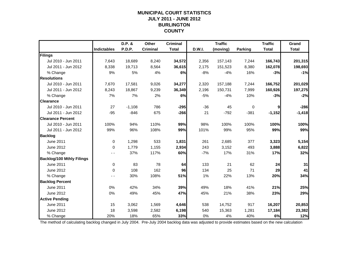### **MUNICIPAL COURT STATISTICSJULY 2011 - JUNE 2012 BURLINGTON COUNTY**

|                                  |                    | D.P. &   | Other           | <b>Criminal</b> |        | <b>Traffic</b> |         | <b>Traffic</b> | Grand        |
|----------------------------------|--------------------|----------|-----------------|-----------------|--------|----------------|---------|----------------|--------------|
|                                  | <b>Indictables</b> | P.D.P.   | <b>Criminal</b> | <b>Total</b>    | D.W.I. | (moving)       | Parking | <b>Total</b>   | <b>Total</b> |
| Filings                          |                    |          |                 |                 |        |                |         |                |              |
| Jul 2010 - Jun 2011              | 7,643              | 18,689   | 8,240           | 34,572          | 2,356  | 157,143        | 7,244   | 166,743        | 201,315      |
| Jul 2011 - Jun 2012              | 8,338              | 19,713   | 8,564           | 36,615          | 2,175  | 151,523        | 8,380   | 162,078        | 198,693      |
| % Change                         | 9%                 | 5%       | 4%              | 6%              | $-8%$  | $-4%$          | 16%     | $-3%$          | $-1%$        |
| <b>Resolutions</b>               |                    |          |                 |                 |        |                |         |                |              |
| Jul 2010 - Jun 2011              | 7,670              | 17,581   | 9,026           | 34,277          | 2,320  | 157,188        | 7,244   | 166,752        | 201,029      |
| Jul 2011 - Jun 2012              | 8,243              | 18,867   | 9,239           | 36,349          | 2,196  | 150,731        | 7,999   | 160,926        | 197,275      |
| % Change                         | 7%                 | 7%       | 2%              | 6%              | $-5%$  | $-4%$          | 10%     | $-3%$          | $-2%$        |
| <b>Clearance</b>                 |                    |          |                 |                 |        |                |         |                |              |
| Jul 2010 - Jun 2011              | 27                 | $-1,108$ | 786             | $-295$          | $-36$  | 45             | 0       | 9              | $-286$       |
| Jul 2011 - Jun 2012              | $-95$              | $-846$   | 675             | $-266$          | 21     | $-792$         | $-381$  | $-1,152$       | $-1,418$     |
| <b>Clearance Percent</b>         |                    |          |                 |                 |        |                |         |                |              |
| Jul 2010 - Jun 2011              | 100%               | 94%      | 110%            | 99%             | 98%    | 100%           | 100%    | 100%           | 100%         |
| Jul 2011 - Jun 2012              | 99%                | 96%      | 108%            | 99%             | 101%   | 99%            | 95%     | 99%            | 99%          |
| <b>Backlog</b>                   |                    |          |                 |                 |        |                |         |                |              |
| June 2011                        | $\mathbf 0$        | 1,298    | 533             | 1,831           | 261    | 2,685          | 377     | 3,323          | 5,154        |
| June 2012                        | 0                  | 1,779    | 1,155           | 2,934           | 243    | 3,152          | 493     | 3,888          | 6,822        |
| % Change                         |                    | 37%      | 117%            | 60%             | $-7%$  | 17%            | 31%     | 17%            | 32%          |
| <b>Backlog/100 Mthly Filings</b> |                    |          |                 |                 |        |                |         |                |              |
| June 2011                        | $\mathbf 0$        | 83       | 78              | 64              | 133    | 21             | 62      | 24             | 31           |
| June 2012                        | $\mathbf 0$        | 108      | 162             | 96              | 134    | 25             | 71      | 29             | 41           |
| % Change                         | - -                | 30%      | 108%            | 51%             | 1%     | 22%            | 13%     | 20%            | 34%          |
| <b>Backlog Percent</b>           |                    |          |                 |                 |        |                |         |                |              |
| <b>June 2011</b>                 | 0%                 | 42%      | 34%             | 39%             | 49%    | 18%            | 41%     | 21%            | 25%          |
| June 2012                        | 0%                 | 49%      | 45%             | 47%             | 45%    | 21%            | 38%     | 23%            | 29%          |
| <b>Active Pending</b>            |                    |          |                 |                 |        |                |         |                |              |
| <b>June 2011</b>                 | 15                 | 3,062    | 1,569           | 4,646           | 538    | 14,752         | 917     | 16,207         | 20,853       |
| June 2012                        | 18                 | 3,598    | 2,582           | 6,198           | 540    | 15,363         | 1,281   | 17,184         | 23,382       |
| % Change                         | 20%                | 18%      | 65%             | 33%             | 0%     | 4%             | 40%     | 6%             | 12%          |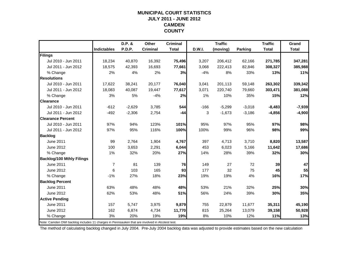#### **MUNICIPAL COURT STATISTICSJULY 2011 - JUNE 2012 CAMDEN COUNTY**

|                                                                                                |                    | D.P. &   | Other           | <b>Criminal</b> |        | <b>Traffic</b> |                | <b>Traffic</b> | Grand        |
|------------------------------------------------------------------------------------------------|--------------------|----------|-----------------|-----------------|--------|----------------|----------------|----------------|--------------|
|                                                                                                | <b>Indictables</b> | P.D.P.   | <b>Criminal</b> | <b>Total</b>    | D.W.I. | (moving)       | <b>Parking</b> | <b>Total</b>   | <b>Total</b> |
| Filings                                                                                        |                    |          |                 |                 |        |                |                |                |              |
| Jul 2010 - Jun 2011                                                                            | 18,234             | 40,870   | 16,392          | 75,496          | 3,207  | 206,412        | 62,166         | 271,785        | 347,281      |
| Jul 2011 - Jun 2012                                                                            | 18,575             | 42,393   | 16,693          | 77,661          | 3,068  | 222,413        | 82,846         | 308,327        | 385,988      |
| % Change                                                                                       | 2%                 | 4%       | 2%              | 3%              | $-4%$  | 8%             | 33%            | 13%            | 11%          |
| <b>Resolutions</b>                                                                             |                    |          |                 |                 |        |                |                |                |              |
| Jul 2010 - Jun 2011                                                                            | 17.622             | 38,241   | 20,177          | 76,040          | 3,041  | 201,113        | 59,148         | 263,302        | 339,342      |
| Jul 2011 - Jun 2012                                                                            | 18,083             | 40,087   | 19,447          | 77,617          | 3,071  | 220,740        | 79,660         | 303,471        | 381,088      |
| % Change                                                                                       | 3%                 | 5%       | $-4%$           | 2%              | 1%     | 10%            | 35%            | 15%            | 12%          |
| <b>Clearance</b>                                                                               |                    |          |                 |                 |        |                |                |                |              |
| Jul 2010 - Jun 2011                                                                            | $-612$             | $-2,629$ | 3,785           | 544             | $-166$ | $-5,299$       | $-3,018$       | $-8,483$       | $-7,939$     |
| Jul 2011 - Jun 2012                                                                            | $-492$             | $-2,306$ | 2,754           | $-44$           | 3      | $-1,673$       | $-3,186$       | $-4,856$       | $-4,900$     |
| <b>Clearance Percent</b>                                                                       |                    |          |                 |                 |        |                |                |                |              |
| Jul 2010 - Jun 2011                                                                            | 97%                | 94%      | 123%            | 101%            | 95%    | 97%            | 95%            | 97%            | 98%          |
| Jul 2011 - Jun 2012                                                                            | 97%                | 95%      | 116%            | 100%            | 100%   | 99%            | 96%            | 98%            | 99%          |
| <b>Backlog</b>                                                                                 |                    |          |                 |                 |        |                |                |                |              |
| June 2011                                                                                      | 99                 | 2,764    | 1,904           | 4,767           | 397    | 4,713          | 3,710          | 8,820          | 13,587       |
| June 2012                                                                                      | 100                | 3,653    | 2,291           | 6,044           | 453    | 6,023          | 5,166          | 11,642         | 17,686       |
| % Change                                                                                       | 1%                 | 32%      | 20%             | 27%             | 14%    | 28%            | 39%            | 32%            | 30%          |
| <b>Backlog/100 Mthly Filings</b>                                                               |                    |          |                 |                 |        |                |                |                |              |
| June 2011                                                                                      | $\overline{7}$     | 81       | 139             | 76              | 149    | 27             | 72             | 39             | 47           |
| June 2012                                                                                      | 6                  | 103      | 165             | 93              | 177    | 32             | 75             | 45             | 55           |
| % Change                                                                                       | $-1%$              | 27%      | 18%             | 23%             | 19%    | 19%            | 4%             | 16%            | 17%          |
| <b>Backlog Percent</b>                                                                         |                    |          |                 |                 |        |                |                |                |              |
| June 2011                                                                                      | 63%                | 48%      | 48%             | 48%             | 53%    | 21%            | 32%            | 25%            | 30%          |
| June 2012                                                                                      | 62%                | 53%      | 48%             | 51%             | 56%    | 24%            | 39%            | 30%            | 35%          |
| <b>Active Pending</b>                                                                          |                    |          |                 |                 |        |                |                |                |              |
| June 2011                                                                                      | 157                | 5,747    | 3,975           | 9,879           | 755    | 22,879         | 11,677         | 35,311         | 45,190       |
| June 2012                                                                                      | 162                | 6,874    | 4,734           | 11,770          | 815    | 25,264         | 13,079         | 39,158         | 50,928       |
| % Change                                                                                       | 3%                 | 20%      | 19%             | 19%             | 8%     | 10%            | 12%            | 11%            | 13%          |
| Note: Camden DWI backlog includes 11 charges in Pennsauken that are involved in Alcotest test. |                    |          |                 |                 |        |                |                |                |              |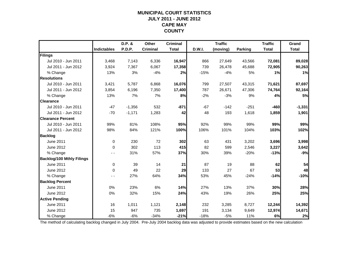### **MUNICIPAL COURT STATISTICSJULY 2011 - JUNE 2012 CAPE MAY COUNTY**

|                                  |                    | D.P. &   | Other           | <b>Criminal</b> |        | <b>Traffic</b> |                | <b>Traffic</b> | Grand        |
|----------------------------------|--------------------|----------|-----------------|-----------------|--------|----------------|----------------|----------------|--------------|
|                                  | <b>Indictables</b> | P.D.P.   | <b>Criminal</b> | <b>Total</b>    | D.W.I. | (moving)       | <b>Parking</b> | <b>Total</b>   | <b>Total</b> |
| Filings                          |                    |          |                 |                 |        |                |                |                |              |
| Jul 2010 - Jun 2011              | 3,468              | 7,143    | 6,336           | 16,947          | 866    | 27,649         | 43,566         | 72,081         | 89,028       |
| Jul 2011 - Jun 2012              | 3,924              | 7,367    | 6,067           | 17,358          | 739    | 26,478         | 45,688         | 72,905         | 90,263       |
| % Change                         | 13%                | 3%       | $-4%$           | 2%              | $-15%$ | $-4%$          | 5%             | 1%             | 1%           |
| <b>Resolutions</b>               |                    |          |                 |                 |        |                |                |                |              |
| Jul 2010 - Jun 2011              | 3,421              | 5,787    | 6,868           | 16,076          | 799    | 27,507         | 43,315         | 71,621         | 87,697       |
| Jul 2011 - Jun 2012              | 3,854              | 6,196    | 7,350           | 17,400          | 787    | 26,671         | 47,306         | 74,764         | 92,164       |
| % Change                         | 13%                | 7%       | 7%              | 8%              | $-2%$  | $-3%$          | 9%             | 4%             | 5%           |
| <b>Clearance</b>                 |                    |          |                 |                 |        |                |                |                |              |
| Jul 2010 - Jun 2011              | $-47$              | $-1,356$ | 532             | $-871$          | $-67$  | $-142$         | $-251$         | $-460$         | $-1,331$     |
| Jul 2011 - Jun 2012              | $-70$              | $-1,171$ | 1,283           | 42              | 48     | 193            | 1,618          | 1,859          | 1,901        |
| <b>Clearance Percent</b>         |                    |          |                 |                 |        |                |                |                |              |
| Jul 2010 - Jun 2011              | 99%                | 81%      | 108%            | 95%             | 92%    | 99%            | 99%            | 99%            | 99%          |
| Jul 2011 - Jun 2012              | 98%                | 84%      | 121%            | 100%            | 106%   | 101%           | 104%           | 103%           | 102%         |
| <b>Backlog</b>                   |                    |          |                 |                 |        |                |                |                |              |
| <b>June 2011</b>                 | $\mathbf 0$        | 230      | 72              | 302             | 63     | 431            | 3,202          | 3,696          | 3,998        |
| June 2012                        | $\Omega$           | 302      | 113             | 415             | 82     | 599            | 2,546          | 3,227          | 3,642        |
| % Change                         |                    | 31%      | 57%             | 37%             | 30%    | 39%            | $-20%$         | $-13%$         | $-9%$        |
| <b>Backlog/100 Mthly Filings</b> |                    |          |                 |                 |        |                |                |                |              |
| June 2011                        | $\mathbf 0$        | 39       | 14              | 21              | 87     | 19             | 88             | 62             | 54           |
| June 2012                        | $\mathbf 0$        | 49       | 22              | 29              | 133    | 27             | 67             | 53             | 48           |
| % Change                         | - -                | 27%      | 64%             | 34%             | 53%    | 45%            | $-24%$         | $-14%$         | $-10%$       |
| <b>Backlog Percent</b>           |                    |          |                 |                 |        |                |                |                |              |
| June 2011                        | 0%                 | 23%      | 6%              | 14%             | 27%    | 13%            | 37%            | 30%            | 28%          |
| June 2012                        | 0%                 | 32%      | 15%             | 24%             | 43%    | 19%            | 26%            | 25%            | 25%          |
| <b>Active Pending</b>            |                    |          |                 |                 |        |                |                |                |              |
| <b>June 2011</b>                 | 16                 | 1,011    | 1,121           | 2,148           | 232    | 3,285          | 8,727          | 12,244         | 14,392       |
| June 2012                        | 15                 | 947      | 735             | 1,697           | 191    | 3,134          | 9,649          | 12,974         | 14,671       |
| % Change                         | $-6%$              | $-6%$    | $-34%$          | $-21%$          | $-18%$ | $-5%$          | 11%            | 6%             | 2%           |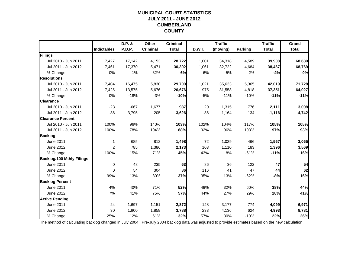### **MUNICIPAL COURT STATISTICSJULY 2011 - JUNE 2012 CUMBERLAND COUNTY**

|                                  |                    | D.P. &        | Other           | <b>Criminal</b> |               | <b>Traffic</b> |                | <b>Traffic</b> | Grand        |
|----------------------------------|--------------------|---------------|-----------------|-----------------|---------------|----------------|----------------|----------------|--------------|
|                                  | <b>Indictables</b> | <b>P.D.P.</b> | <b>Criminal</b> | <b>Total</b>    | <b>D.W.I.</b> | (moving)       | <b>Parking</b> | <b>Total</b>   | <b>Total</b> |
| Filings                          |                    |               |                 |                 |               |                |                |                |              |
| Jul 2010 - Jun 2011              | 7,427              | 17,142        | 4,153           | 28,722          | 1,001         | 34,318         | 4,589          | 39,908         | 68,630       |
| Jul 2011 - Jun 2012              | 7,461              | 17,370        | 5,471           | 30,302          | 1,061         | 32,722         | 4,684          | 38,467         | 68,769       |
| % Change                         | 0%                 | 1%            | 32%             | 6%              | 6%            | $-5%$          | 2%             | $-4%$          | 0%           |
| <b>Resolutions</b>               |                    |               |                 |                 |               |                |                |                |              |
| Jul 2010 - Jun 2011              | 7,404              | 16,475        | 5,830           | 29,709          | 1,021         | 35,633         | 5,365          | 42,019         | 71,728       |
| Jul 2011 - Jun 2012              | 7,425              | 13,575        | 5,676           | 26,676          | 975           | 31,558         | 4,818          | 37,351         | 64,027       |
| % Change                         | 0%                 | $-18%$        | $-3%$           | $-10%$          | $-5%$         | $-11%$         | $-10%$         | $-11%$         | $-11%$       |
| <b>Clearance</b>                 |                    |               |                 |                 |               |                |                |                |              |
| Jul 2010 - Jun 2011              | $-23$              | $-667$        | 1,677           | 987             | 20            | 1,315          | 776            | 2,111          | 3,098        |
| Jul 2011 - Jun 2012              | $-36$              | $-3,795$      | 205             | $-3,626$        | $-86$         | $-1,164$       | 134            | $-1,116$       | $-4,742$     |
| <b>Clearance Percent</b>         |                    |               |                 |                 |               |                |                |                |              |
| Jul 2010 - Jun 2011              | 100%               | 96%           | 140%            | 103%            | 102%          | 104%           | 117%           | 105%           | 105%         |
| Jul 2011 - Jun 2012              | 100%               | 78%           | 104%            | 88%             | 92%           | 96%            | 103%           | 97%            | 93%          |
| <b>Backlog</b>                   |                    |               |                 |                 |               |                |                |                |              |
| June 2011                        | $\mathbf 1$        | 685           | 812             | 1,498           | 72            | 1,029          | 466            | 1,567          | 3,065        |
| June 2012                        | 2                  | 785           | 1,386           | 2,173           | 103           | 1,110          | 183            | 1,396          | 3,569        |
| % Change                         | 100%               | 15%           | 71%             | 45%             | 43%           | 8%             | $-61%$         | $-11%$         | 16%          |
| <b>Backlog/100 Mthly Filings</b> |                    |               |                 |                 |               |                |                |                |              |
| June 2011                        | 0                  | 48            | 235             | 63              | 86            | 36             | 122            | 47             | 54           |
| June 2012                        | $\Omega$           | 54            | 304             | 86              | 116           | 41             | 47             | 44             | 62           |
| % Change                         | 99%                | 13%           | 30%             | 37%             | 35%           | 13%            | $-62%$         | $-8%$          | 16%          |
| <b>Backlog Percent</b>           |                    |               |                 |                 |               |                |                |                |              |
| <b>June 2011</b>                 | 4%                 | 40%           | 71%             | 52%             | 49%           | 32%            | 60%            | 38%            | 44%          |
| <b>June 2012</b>                 | 7%                 | 41%           | 75%             | 57%             | 44%           | 27%            | 29%            | 28%            | 41%          |
| <b>Active Pending</b>            |                    |               |                 |                 |               |                |                |                |              |
| <b>June 2011</b>                 | 24                 | 1,697         | 1,151           | 2,872           | 148           | 3,177          | 774            | 4,099          | 6,971        |
| June 2012                        | 30                 | 1,900         | 1,858           | 3,788           | 233           | 4,136          | 624            | 4,993          | 8,781        |
| % Change                         | 25%                | 12%           | 61%             | 32%             | 57%           | 30%            | $-19%$         | 22%            | 26%          |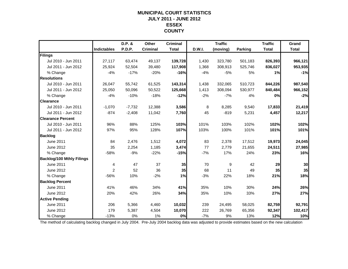### **MUNICIPAL COURT STATISTICSJULY 2011 - JUNE 2012 ESSEX COUNTY**

|                                  |                    | D.P. &   | Other           | <b>Criminal</b> |        | <b>Traffic</b> |                | <b>Traffic</b> | Grand        |
|----------------------------------|--------------------|----------|-----------------|-----------------|--------|----------------|----------------|----------------|--------------|
|                                  | <b>Indictables</b> | P.D.P.   | <b>Criminal</b> | <b>Total</b>    | D.W.I. | (moving)       | <b>Parking</b> | <b>Total</b>   | <b>Total</b> |
| Filings                          |                    |          |                 |                 |        |                |                |                |              |
| Jul 2010 - Jun 2011              | 27,117             | 63,474   | 49,137          | 139,728         | 1,430  | 323,780        | 501,183        | 826,393        | 966,121      |
| Jul 2011 - Jun 2012              | 25,924             | 52,504   | 39,480          | 117,908         | 1,368  | 308,913        | 525,746        | 836,027        | 953,935      |
| % Change                         | $-4%$              | $-17%$   | $-20%$          | $-16%$          | $-4%$  | $-5%$          | 5%             | 1%             | $-1%$        |
| <b>Resolutions</b>               |                    |          |                 |                 |        |                |                |                |              |
| Jul 2010 - Jun 2011              | 26,047             | 55,742   | 61,525          | 143,314         | 1,438  | 332,065        | 510,723        | 844,226        | 987,540      |
| Jul 2011 - Jun 2012              | 25,050             | 50,096   | 50,522          | 125,668         | 1,413  | 308,094        | 530,977        | 840,484        | 966,152      |
| % Change                         | $-4%$              | $-10%$   | $-18%$          | $-12%$          | $-2%$  | $-7%$          | 4%             | 0%             | $-2%$        |
| <b>Clearance</b>                 |                    |          |                 |                 |        |                |                |                |              |
| Jul 2010 - Jun 2011              | $-1,070$           | $-7,732$ | 12,388          | 3,586           | 8      | 8,285          | 9,540          | 17,833         | 21,419       |
| Jul 2011 - Jun 2012              | $-874$             | $-2,408$ | 11,042          | 7,760           | 45     | $-819$         | 5,231          | 4,457          | 12,217       |
| <b>Clearance Percent</b>         |                    |          |                 |                 |        |                |                |                |              |
| Jul 2010 - Jun 2011              | 96%                | 88%      | 125%            | 103%            | 101%   | 103%           | 102%           | 102%           | 102%         |
| Jul 2011 - Jun 2012              | 97%                | 95%      | 128%            | 107%            | 103%   | 100%           | 101%           | 101%           | 101%         |
| <b>Backlog</b>                   |                    |          |                 |                 |        |                |                |                |              |
| June 2011                        | 84                 | 2,476    | 1,512           | 4,072           | 83     | 2,378          | 17,512         | 19,973         | 24,045       |
| June 2012                        | 35                 | 2,254    | 1,185           | 3,474           | 77     | 2,779          | 21,655         | 24,511         | 27,985       |
| % Change                         | $-58%$             | $-9%$    | $-22%$          | $-15%$          | $-7%$  | 17%            | 24%            | 23%            | 16%          |
| <b>Backlog/100 Mthly Filings</b> |                    |          |                 |                 |        |                |                |                |              |
| June 2011                        | 4                  | 47       | 37              | 35              | 70     | 9              | 42             | 29             | 30           |
| June 2012                        | 2                  | 52       | 36              | 35              | 68     | 11             | 49             | 35             | 35           |
| % Change                         | $-56%$             | 10%      | $-2%$           | 1%              | $-3%$  | 22%            | 18%            | 21%            | 18%          |
| <b>Backlog Percent</b>           |                    |          |                 |                 |        |                |                |                |              |
| <b>June 2011</b>                 | 41%                | 46%      | 34%             | 41%             | 35%    | 10%            | 30%            | 24%            | 26%          |
| June 2012                        | 20%                | 42%      | 26%             | 34%             | 35%    | 10%            | 33%            | 27%            | 27%          |
| <b>Active Pending</b>            |                    |          |                 |                 |        |                |                |                |              |
| <b>June 2011</b>                 | 206                | 5,366    | 4,460           | 10,032          | 239    | 24,495         | 58,025         | 82,759         | 92,791       |
| June 2012                        | 179                | 5,387    | 4,504           | 10,070          | 222    | 26,769         | 65,356         | 92,347         | 102,417      |
| % Change                         | $-13%$             | 0%       | 1%              | 0%              | $-7%$  | 9%             | 13%            | 12%            | 10%          |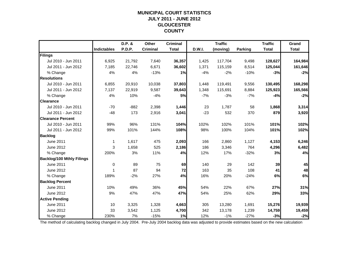### **MUNICIPAL COURT STATISTICSJULY 2011 - JUNE 2012 GLOUCESTER COUNTY**

|                                  |                    | D.P. &        | Other           | <b>Criminal</b> |        | <b>Traffic</b> |         | <b>Traffic</b> | Grand        |
|----------------------------------|--------------------|---------------|-----------------|-----------------|--------|----------------|---------|----------------|--------------|
|                                  | <b>Indictables</b> | <b>P.D.P.</b> | <b>Criminal</b> | <b>Total</b>    | D.W.I. | (moving)       | Parking | <b>Total</b>   | <b>Total</b> |
| Filings                          |                    |               |                 |                 |        |                |         |                |              |
| Jul 2010 - Jun 2011              | 6,925              | 21,792        | 7,640           | 36,357          | 1,425  | 117,704        | 9,498   | 128,627        | 164,984      |
| Jul 2011 - Jun 2012              | 7,185              | 22,746        | 6,671           | 36,602          | 1,371  | 115,159        | 8,514   | 125,044        | 161,646      |
| % Change                         | 4%                 | 4%            | $-13%$          | 1%              | $-4%$  | $-2%$          | $-10%$  | $-3%$          | $-2%$        |
| <b>Resolutions</b>               |                    |               |                 |                 |        |                |         |                |              |
| Jul 2010 - Jun 2011              | 6,855              | 20,910        | 10,038          | 37,803          | 1,448  | 119,491        | 9,556   | 130,495        | 168,298      |
| Jul 2011 - Jun 2012              | 7,137              | 22,919        | 9,587           | 39,643          | 1,348  | 115,691        | 8,884   | 125,923        | 165,566      |
| % Change                         | 4%                 | 10%           | $-4%$           | 5%              | $-7%$  | $-3%$          | $-7%$   | $-4%$          | $-2%$        |
| <b>Clearance</b>                 |                    |               |                 |                 |        |                |         |                |              |
| Jul 2010 - Jun 2011              | $-70$              | $-882$        | 2,398           | 1,446           | 23     | 1,787          | 58      | 1,868          | 3,314        |
| Jul 2011 - Jun 2012              | $-48$              | 173           | 2,916           | 3,041           | $-23$  | 532            | 370     | 879            | 3,920        |
| <b>Clearance Percent</b>         |                    |               |                 |                 |        |                |         |                |              |
| Jul 2010 - Jun 2011              | 99%                | 96%           | 131%            | 104%            | 102%   | 102%           | 101%    | 101%           | 102%         |
| Jul 2011 - Jun 2012              | 99%                | 101%          | 144%            | 108%            | 98%    | 100%           | 104%    | 101%           | 102%         |
| <b>Backlog</b>                   |                    |               |                 |                 |        |                |         |                |              |
| <b>June 2011</b>                 | 1                  | 1,617         | 475             | 2,093           | 166    | 2,860          | 1,127   | 4,153          | 6,246        |
| June 2012                        | 3                  | 1,658         | 525             | 2,186           | 186    | 3,346          | 764     | 4,296          | 6,482        |
| % Change                         | 200%               | 3%            | 11%             | 4%              | 12%    | 17%            | $-32%$  | 3%             | 4%           |
| <b>Backlog/100 Mthly Filings</b> |                    |               |                 |                 |        |                |         |                |              |
| June 2011                        | $\mathbf 0$        | 89            | 75              | 69              | 140    | 29             | 142     | 39             | 45           |
| June 2012                        | 1                  | 87            | 94              | 72              | 163    | 35             | 108     | 41             | 48           |
| % Change                         | 189%               | $-2%$         | 27%             | 4%              | 16%    | 20%            | $-24%$  | 6%             | 6%           |
| <b>Backlog Percent</b>           |                    |               |                 |                 |        |                |         |                |              |
| <b>June 2011</b>                 | 10%                | 49%           | 36%             | 45%             | 54%    | 22%            | 67%     | 27%            | 31%          |
| June 2012                        | 9%                 | 47%           | 47%             | 47%             | 54%    | 25%            | 62%     | 29%            | 33%          |
| <b>Active Pending</b>            |                    |               |                 |                 |        |                |         |                |              |
| <b>June 2011</b>                 | 10                 | 3,325         | 1,328           | 4,663           | 305    | 13,280         | 1,691   | 15,276         | 19,939       |
| June 2012                        | 33                 | 3,542         | 1,125           | 4,700           | 342    | 13,178         | 1,239   | 14,759         | 19,459       |
| % Change                         | 230%               | 7%            | $-15%$          | 1%              | 12%    | $-1%$          | $-27%$  | $-3%$          | $-2%$        |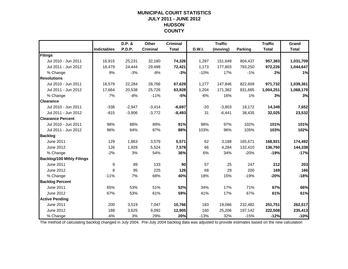### **MUNICIPAL COURT STATISTICSJULY 2011 - JUNE 2012 HUDSON COUNTY**

|                                  |                    | D.P. &   | Other           | <b>Criminal</b> |               | <b>Traffic</b> |                | <b>Traffic</b> | Grand        |
|----------------------------------|--------------------|----------|-----------------|-----------------|---------------|----------------|----------------|----------------|--------------|
|                                  | <b>Indictables</b> | P.D.P.   | <b>Criminal</b> | <b>Total</b>    | <b>D.W.I.</b> | (moving)       | <b>Parking</b> | <b>Total</b>   | <b>Total</b> |
| Filings                          |                    |          |                 |                 |               |                |                |                |              |
| Jul 2010 - Jun 2011              | 16,915             | 25,231   | 32,180          | 74,326          | 1,297         | 151,649        | 804,437        | 957,383        | 1,031,709    |
| Jul 2011 - Jun 2012              | 18,479             | 24,444   | 29,498          | 72,421          | 1,173         | 177,803        | 793,250        | 972,226        | 1,044,647    |
| % Change                         | 9%                 | $-3%$    | $-8%$           | $-3%$           | $-10%$        | 17%            | $-1%$          | 2%             | 1%           |
| <b>Resolutions</b>               |                    |          |                 |                 |               |                |                |                |              |
| Jul 2010 - Jun 2011              | 16,579             | 22,284   | 28,766          | 67,629          | 1,277         | 147,846        | 822,609        | 971,732        | 1,039,361    |
| Jul 2011 - Jun 2012              | 17,664             | 20,538   | 25,726          | 63,928          | 1,204         | 171,362        | 831,685        | 1,004,251      | 1,068,179    |
| % Change                         | 7%                 | $-8%$    | $-11%$          | $-5%$           | $-6%$         | 16%            | 1%             | 3%             | 3%           |
| <b>Clearance</b>                 |                    |          |                 |                 |               |                |                |                |              |
| Jul 2010 - Jun 2011              | $-336$             | $-2,947$ | $-3,414$        | $-6,697$        | $-20$         | $-3,803$       | 18,172         | 14,349         | 7,652        |
| Jul 2011 - Jun 2012              | $-815$             | $-3,906$ | $-3,772$        | $-8,493$        | 31            | $-6,441$       | 38,435         | 32,025         | 23,532       |
| <b>Clearance Percent</b>         |                    |          |                 |                 |               |                |                |                |              |
| Jul 2010 - Jun 2011              | 98%                | 88%      | 89%             | 91%             | 98%           | 97%            | 102%           | 101%           | 101%         |
| Jul 2011 - Jun 2012              | 96%                | 84%      | 87%             | 88%             | 103%          | 96%            | 105%           | 103%           | 102%         |
| <b>Backlog</b>                   |                    |          |                 |                 |               |                |                |                |              |
| June 2011                        | 129                | 1,863    | 3,579           | 5,571           | 62            | 3,188          | 165,671        | 168,921        | 174,492      |
| June 2012                        | 126                | 1,928    | 5,524           | 7,578           | 66            | 4,284          | 132,410        | 136,760        | 144,338      |
| % Change                         | $-2%$              | 3%       | 54%             | 36%             | 6%            | 34%            | $-20%$         | $-19%$         | $-17%$       |
| <b>Backlog/100 Mthly Filings</b> |                    |          |                 |                 |               |                |                |                |              |
| June 2011                        | 9                  | 89       | 133             | 90              | 57            | 25             | 247            | 212            | 203          |
| June 2012                        | 8                  | 95       | 225             | 126             | 68            | 29             | 200            | 169            | 166          |
| % Change                         | $-11%$             | 7%       | 68%             | 40%             | 18%           | 15%            | $-19%$         | $-20%$         | $-18%$       |
| <b>Backlog Percent</b>           |                    |          |                 |                 |               |                |                |                |              |
| <b>June 2011</b>                 | 65%                | 53%      | 51%             | 52%             | 34%           | 17%            | 71%            | 67%            | 66%          |
| June 2012                        | 67%                | 53%      | 61%             | 59%             | 41%           | 17%            | 67%            | 61%            | 61%          |
| <b>Active Pending</b>            |                    |          |                 |                 |               |                |                |                |              |
| <b>June 2011</b>                 | 200                | 3,519    | 7,047           | 10,766          | 183           | 19,086         | 232,482        | 251,751        | 262,517      |
| June 2012                        | 188                | 3,625    | 9,092           | 12,905          | 160           | 25,206         | 197,142        | 222,508        | 235,413      |
| % Change                         | $-6%$              | 3%       | 29%             | 20%             | $-13%$        | 32%            | $-15%$         | $-12%$         | $-10%$       |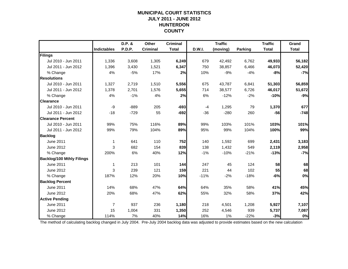### **MUNICIPAL COURT STATISTICSJULY 2011 - JUNE 2012 HUNTERDON COUNTY**

|                                  |                    | D.P. & | Other           | <b>Criminal</b> |               | <b>Traffic</b> |                | <b>Traffic</b> | Grand        |
|----------------------------------|--------------------|--------|-----------------|-----------------|---------------|----------------|----------------|----------------|--------------|
|                                  | <b>Indictables</b> | P.D.P. | <b>Criminal</b> | <b>Total</b>    | <b>D.W.I.</b> | (moving)       | <b>Parking</b> | <b>Total</b>   | <b>Total</b> |
| Filings                          |                    |        |                 |                 |               |                |                |                |              |
| Jul 2010 - Jun 2011              | 1,336              | 3,608  | 1,305           | 6,249           | 679           | 42,492         | 6,762          | 49,933         | 56,182       |
| Jul 2011 - Jun 2012              | 1,396              | 3,430  | 1,521           | 6,347           | 750           | 38,857         | 6,466          | 46,073         | 52,420       |
| % Change                         | 4%                 | $-5%$  | 17%             | 2%              | 10%           | $-9%$          | $-4%$          | $-8%$          | $-7%$        |
| <b>Resolutions</b>               |                    |        |                 |                 |               |                |                |                |              |
| Jul 2010 - Jun 2011              | 1,327              | 2,719  | 1,510           | 5,556           | 675           | 43,787         | 6,841          | 51,303         | 56,859       |
| Jul 2011 - Jun 2012              | 1,378              | 2,701  | 1,576           | 5,655           | 714           | 38,577         | 6,726          | 46,017         | 51,672       |
| % Change                         | 4%                 | $-1%$  | 4%              | 2%              | 6%            | $-12%$         | $-2%$          | $-10%$         | $-9%$        |
| <b>Clearance</b>                 |                    |        |                 |                 |               |                |                |                |              |
| Jul 2010 - Jun 2011              | -9                 | $-889$ | 205             | $-693$          | $-4$          | 1,295          | 79             | 1,370          | 677          |
| Jul 2011 - Jun 2012              | $-18$              | $-729$ | 55              | $-692$          | $-36$         | $-280$         | 260            | $-56$          | $-748$       |
| <b>Clearance Percent</b>         |                    |        |                 |                 |               |                |                |                |              |
| Jul 2010 - Jun 2011              | 99%                | 75%    | 116%            | 89%             | 99%           | 103%           | 101%           | 103%           | 101%         |
| Jul 2011 - Jun 2012              | 99%                | 79%    | 104%            | 89%             | 95%           | 99%            | 104%           | 100%           | 99%          |
| <b>Backlog</b>                   |                    |        |                 |                 |               |                |                |                |              |
| <b>June 2011</b>                 | 1                  | 641    | 110             | 752             | 140           | 1,592          | 699            | 2,431          | 3,183        |
| June 2012                        | 3                  | 682    | 154             | 839             | 138           | 1,432          | 549            | 2,119          | 2,958        |
| % Change                         | 200%               | 6%     | 40%             | 12%             | $-1%$         | $-10%$         | $-21%$         | $-13%$         | $-7%$        |
| <b>Backlog/100 Mthly Filings</b> |                    |        |                 |                 |               |                |                |                |              |
| <b>June 2011</b>                 | 1                  | 213    | 101             | 144             | 247           | 45             | 124            | 58             | 68           |
| June 2012                        | 3                  | 239    | 121             | 159             | 221           | 44             | 102            | 55             | 68           |
| % Change                         | 187%               | 12%    | 20%             | 10%             | $-11%$        | $-2%$          | $-18%$         | $-6%$          | 0%           |
| <b>Backlog Percent</b>           |                    |        |                 |                 |               |                |                |                |              |
| <b>June 2011</b>                 | 14%                | 68%    | 47%             | 64%             | 64%           | 35%            | 58%            | 41%            | 45%          |
| June 2012                        | 20%                | 68%    | 47%             | 62%             | 55%           | 32%            | 58%            | 37%            | 42%          |
| <b>Active Pending</b>            |                    |        |                 |                 |               |                |                |                |              |
| <b>June 2011</b>                 | $\overline{7}$     | 937    | 236             | 1,180           | 218           | 4,501          | 1,208          | 5,927          | 7,107        |
| June 2012                        | 15                 | 1,004  | 331             | 1,350           | 252           | 4,546          | 939            | 5,737          | 7,087        |
| % Change                         | 114%               | 7%     | 40%             | 14%             | 16%           | 1%             | $-22%$         | $-3%$          | 0%           |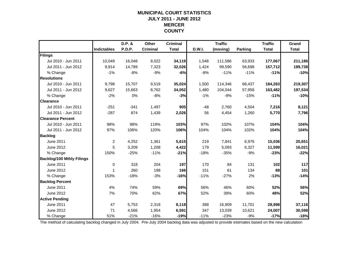### **MUNICIPAL COURT STATISTICSJULY 2011 - JUNE 2012 MERCER COUNTY**

|                                  |                    | D.P. & | Other           | <b>Criminal</b> |        | <b>Traffic</b> |         | <b>Traffic</b> | Grand        |
|----------------------------------|--------------------|--------|-----------------|-----------------|--------|----------------|---------|----------------|--------------|
|                                  | <b>Indictables</b> | P.D.P. | <b>Criminal</b> | <b>Total</b>    | D.W.I. | (moving)       | Parking | <b>Total</b>   | <b>Total</b> |
| Filings                          |                    |        |                 |                 |        |                |         |                |              |
| Jul 2010 - Jun 2011              | 10,049             | 16,048 | 8,022           | 34,119          | 1,548  | 111,586        | 63,933  | 177,067        | 211,186      |
| Jul 2011 - Jun 2012              | 9,914              | 14,789 | 7,323           | 32,026          | 1,424  | 99,590         | 56,698  | 157,712        | 189,738      |
| % Change                         | $-1%$              | $-8%$  | $-9%$           | $-6%$           | $-8%$  | $-11%$         | $-11%$  | $-11%$         | $-10%$       |
| <b>Resolutions</b>               |                    |        |                 |                 |        |                |         |                |              |
| Jul 2010 - Jun 2011              | 9,798              | 15,707 | 9,519           | 35,024          | 1,500  | 114,346        | 68,437  | 184,283        | 219,307      |
| Jul 2011 - Jun 2012              | 9,627              | 15,663 | 8,762           | 34,052          | 1,480  | 104,044        | 57,958  | 163,482        | 197,534      |
| % Change                         | $-2%$              | 0%     | $-8%$           | $-3%$           | $-1%$  | $-9%$          | $-15%$  | $-11%$         | $-10%$       |
| <b>Clearance</b>                 |                    |        |                 |                 |        |                |         |                |              |
| Jul 2010 - Jun 2011              | $-251$             | $-341$ | 1,497           | 905             | $-48$  | 2,760          | 4,504   | 7,216          | 8,121        |
| Jul 2011 - Jun 2012              | $-287$             | 874    | 1,439           | 2,026           | 56     | 4,454          | 1,260   | 5,770          | 7,796        |
| <b>Clearance Percent</b>         |                    |        |                 |                 |        |                |         |                |              |
| Jul 2010 - Jun 2011              | 98%                | 98%    | 119%            | 103%            | 97%    | 102%           | 107%    | 104%           | 104%         |
| Jul 2011 - Jun 2012              | 97%                | 106%   | 120%            | 106%            | 104%   | 104%           | 102%    | 104%           | 104%         |
| <b>Backlog</b>                   |                    |        |                 |                 |        |                |         |                |              |
| June 2011                        | $\overline{2}$     | 4,252  | 1,361           | 5,615           | 219    | 7,841          | 6,976   | 15,036         | 20,651       |
| June 2012                        | 5                  | 3,209  | 1,208           | 4,422           | 179    | 5,093          | 6,327   | 11,599         | 16,021       |
| % Change                         | 150%               | $-25%$ | $-11%$          | $-21%$          | $-18%$ | $-35%$         | $-9%$   | $-23%$         | $-22%$       |
| <b>Backlog/100 Mthly Filings</b> |                    |        |                 |                 |        |                |         |                |              |
| June 2011                        | 0                  | 318    | 204             | 197             | 170    | 84             | 131     | 102            | 117          |
| June 2012                        | $\mathbf{1}$       | 260    | 198             | 166             | 151    | 61             | 134     | 88             | 101          |
| % Change                         | 153%               | $-18%$ | $-3%$           | $-16%$          | $-11%$ | $-27%$         | 2%      | $-13%$         | $-14%$       |
| <b>Backlog Percent</b>           |                    |        |                 |                 |        |                |         |                |              |
| <b>June 2011</b>                 | 4%                 | 74%    | 59%             | 69%             | 56%    | 46%            | 60%     | 52%            | 56%          |
| June 2012                        | 7%                 | 70%    | 62%             | 67%             | 52%    | 39%            | 60%     | 48%            | 52%          |
| <b>Active Pending</b>            |                    |        |                 |                 |        |                |         |                |              |
| <b>June 2011</b>                 | 47                 | 5,753  | 2,318           | 8,118           | 388    | 16,909         | 11,701  | 28,998         | 37,116       |
| June 2012                        | 71                 | 4,566  | 1,954           | 6,591           | 347    | 13,039         | 10,621  | 24,007         | 30,598       |
| % Change                         | 51%                | $-21%$ | $-16%$          | $-19%$          | $-11%$ | $-23%$         | $-9%$   | $-17%$         | $-18%$       |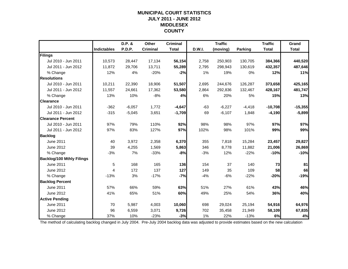### **MUNICIPAL COURT STATISTICSJULY 2011 - JUNE 2012 MIDDLESEX COUNTY**

|                                  |                    | D.P. &   | Other           | <b>Criminal</b> |               | <b>Traffic</b> |                | <b>Traffic</b> | Grand        |
|----------------------------------|--------------------|----------|-----------------|-----------------|---------------|----------------|----------------|----------------|--------------|
|                                  | <b>Indictables</b> | P.D.P.   | <b>Criminal</b> | <b>Total</b>    | <b>D.W.I.</b> | (moving)       | <b>Parking</b> | <b>Total</b>   | <b>Total</b> |
| Filings                          |                    |          |                 |                 |               |                |                |                |              |
| Jul 2010 - Jun 2011              | 10,573             | 28,447   | 17,134          | 56,154          | 2,758         | 250,903        | 130,705        | 384,366        | 440,520      |
| Jul 2011 - Jun 2012              | 11,872             | 29,706   | 13,711          | 55,289          | 2,795         | 298,943        | 130,619        | 432,357        | 487,646      |
| % Change                         | 12%                | 4%       | $-20%$          | $-2%$           | 1%            | 19%            | 0%             | 12%            | 11%          |
| <b>Resolutions</b>               |                    |          |                 |                 |               |                |                |                |              |
| Jul 2010 - Jun 2011              | 10,211             | 22,390   | 18,906          | 51,507          | 2,695         | 244,676        | 126,287        | 373,658        | 425,165      |
| Jul 2011 - Jun 2012              | 11,557             | 24,661   | 17,362          | 53,580          | 2,864         | 292,836        | 132,467        | 428,167        | 481,747      |
| % Change                         | 13%                | 10%      | $-8%$           | 4%              | 6%            | 20%            | 5%             | 15%            | 13%          |
| <b>Clearance</b>                 |                    |          |                 |                 |               |                |                |                |              |
| Jul 2010 - Jun 2011              | $-362$             | $-6,057$ | 1,772           | $-4,647$        | $-63$         | $-6,227$       | $-4,418$       | $-10,708$      | $-15,355$    |
| Jul 2011 - Jun 2012              | $-315$             | $-5,045$ | 3,651           | $-1,709$        | 69            | $-6,107$       | 1,848          | $-4,190$       | $-5,899$     |
| <b>Clearance Percent</b>         |                    |          |                 |                 |               |                |                |                |              |
| Jul 2010 - Jun 2011              | 97%                | 79%      | 110%            | 92%             | 98%           | 98%            | 97%            | 97%            | 97%          |
| Jul 2011 - Jun 2012              | 97%                | 83%      | 127%            | 97%             | 102%          | 98%            | 101%           | 99%            | 99%          |
| <b>Backlog</b>                   |                    |          |                 |                 |               |                |                |                |              |
| June 2011                        | 40                 | 3,972    | 2,358           | 6,370           | 355           | 7,818          | 15,284         | 23,457         | 29,827       |
| June 2012                        | 39                 | 4,255    | 1,569           | 5,863           | 346           | 8,778          | 11,882         | 21,006         | 26,869       |
| % Change                         | $-3%$              | 7%       | $-33%$          | $-8%$           | $-3%$         | 12%            | $-22%$         | $-10%$         | $-10%$       |
| <b>Backlog/100 Mthly Filings</b> |                    |          |                 |                 |               |                |                |                |              |
| June 2011                        | 5                  | 168      | 165             | 136             | 154           | 37             | 140            | 73             | 81           |
| June 2012                        | 4                  | 172      | 137             | 127             | 149           | 35             | 109            | 58             | 66           |
| % Change                         | $-13%$             | 3%       | $-17%$          | $-7%$           | $-4%$         | $-6%$          | $-22%$         | $-20%$         | $-19%$       |
| <b>Backlog Percent</b>           |                    |          |                 |                 |               |                |                |                |              |
| <b>June 2011</b>                 | 57%                | 66%      | 59%             | 63%             | 51%           | 27%            | 61%            | 43%            | 46%          |
| June 2012                        | 41%                | 65%      | 51%             | 60%             | 49%           | 25%            | 54%            | 36%            | 40%          |
| <b>Active Pending</b>            |                    |          |                 |                 |               |                |                |                |              |
| <b>June 2011</b>                 | 70                 | 5,987    | 4,003           | 10,060          | 698           | 29,024         | 25,194         | 54,916         | 64,976       |
| June 2012                        | 96                 | 6,559    | 3,071           | 9,726           | 702           | 35,458         | 21,949         | 58,109         | 67,835       |
| % Change                         | 37%                | 10%      | $-23%$          | $-3%$           | 1%            | 22%            | $-13%$         | 6%             | 4%           |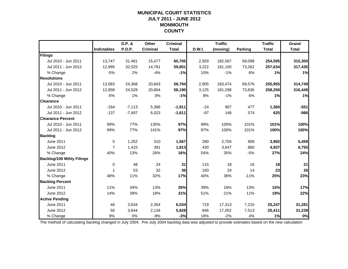### **MUNICIPAL COURT STATISTICSJULY 2011 - JUNE 2012 MONMOUTH COUNTY**

|                                  |                    | D.P. &   | Other           | <b>Criminal</b> |        | <b>Traffic</b> |         | <b>Traffic</b> | Grand        |
|----------------------------------|--------------------|----------|-----------------|-----------------|--------|----------------|---------|----------------|--------------|
|                                  | <b>Indictables</b> | P.D.P.   | <b>Criminal</b> | <b>Total</b>    | D.W.I. | (moving)       | Parking | <b>Total</b>   | <b>Total</b> |
| Filings                          |                    |          |                 |                 |        |                |         |                |              |
| Jul 2010 - Jun 2011              | 13,747             | 31,481   | 15,477          | 60,705          | 2,929  | 182,567        | 69,099  | 254,595        | 315,300      |
| Jul 2011 - Jun 2012              | 12,995             | 32,025   | 14,781          | 59,801          | 3,222  | 181,150        | 73,262  | 257,634        | 317,435      |
| % Change                         | $-5%$              | 2%       | $-4%$           | $-1%$           | 10%    | $-1%$          | 6%      | 1%             | 1%           |
| <b>Resolutions</b>               |                    |          |                 |                 |        |                |         |                |              |
| Jul 2010 - Jun 2011              | 13,583             | 24,368   | 20,843          | 58,794          | 2,905  | 183,474        | 69,576  | 255,955        | 314,749      |
| Jul 2011 - Jun 2012              | 12,858             | 24,528   | 20,804          | 58,190          | 3,125  | 181,298        | 73,836  | 258,259        | 316,449      |
| % Change                         | $-5%$              | 1%       | 0%              | $-1%$           | 8%     | $-1%$          | 6%      | 1%             | 1%           |
| <b>Clearance</b>                 |                    |          |                 |                 |        |                |         |                |              |
| Jul 2010 - Jun 2011              | $-164$             | $-7,113$ | 5,366           | $-1,911$        | $-24$  | 907            | 477     | 1,360          | $-551$       |
| Jul 2011 - Jun 2012              | $-137$             | $-7,497$ | 6,023           | $-1,611$        | $-97$  | 148            | 574     | 625            | $-986$       |
| <b>Clearance Percent</b>         |                    |          |                 |                 |        |                |         |                |              |
| Jul 2010 - Jun 2011              | 99%                | 77%      | 135%            | 97%             | 99%    | 100%           | 101%    | 101%           | 100%         |
| Jul 2011 - Jun 2012              | 99%                | 77%      | 141%            | 97%             | 97%    | 100%           | 101%    | 100%           | 100%         |
| <b>Backlog</b>                   |                    |          |                 |                 |        |                |         |                |              |
| June 2011                        | 5                  | 1,252    | 310             | 1,567           | 280    | 2,704          | 908     | 3,892          | 5,459        |
| June 2012                        | $\overline{7}$     | 1,415    | 391             | 1,813           | 430    | 3,647          | 860     | 4,937          | 6,750        |
| % Change                         | 40%                | 13%      | 26%             | 16%             | 54%    | 35%            | $-5%$   | 27%            | 24%          |
| <b>Backlog/100 Mthly Filings</b> |                    |          |                 |                 |        |                |         |                |              |
| June 2011                        | 0                  | 48       | 24              | 31              | 115    | 18             | 16      | 18             | 21           |
| June 2012                        | 1                  | 53       | 32              | 36              | 160    | 24             | 14      | 23             | 26           |
| % Change                         | 48%                | 11%      | 32%             | 17%             | 40%    | 36%            | $-11%$  | 25%            | 23%          |
| <b>Backlog Percent</b>           |                    |          |                 |                 |        |                |         |                |              |
| <b>June 2011</b>                 | 11%                | 34%      | 13%             | 26%             | 39%    | 16%            | 13%     | 15%            | 17%          |
| June 2012                        | 14%                | 39%      | 18%             | 31%             | 51%    | 21%            | 11%     | 19%            | 22%          |
| <b>Active Pending</b>            |                    |          |                 |                 |        |                |         |                |              |
| <b>June 2011</b>                 | 46                 | 3,634    | 2,354           | 6,034           | 719    | 17,313         | 7,215   | 25,247         | 31,281       |
| June 2012                        | 50                 | 3,644    | 2,134           | 5,828           | 846    | 17,052         | 7,513   | 25,411         | 31,239       |
| % Change                         | 9%                 | 0%       | $-9%$           | $-3%$           | 18%    | $-2%$          | 4%      | 1%             | 0%           |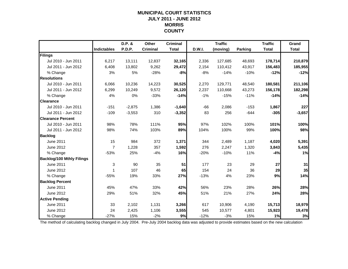### **MUNICIPAL COURT STATISTICSJULY 2011 - JUNE 2012 MORRIS COUNTY**

|                                  |                    | D.P. &   | Other           | <b>Criminal</b> |        | <b>Traffic</b> |         | <b>Traffic</b> | Grand        |
|----------------------------------|--------------------|----------|-----------------|-----------------|--------|----------------|---------|----------------|--------------|
|                                  | <b>Indictables</b> | P.D.P.   | <b>Criminal</b> | <b>Total</b>    | D.W.I. | (moving)       | Parking | <b>Total</b>   | <b>Total</b> |
| Filings                          |                    |          |                 |                 |        |                |         |                |              |
| Jul 2010 - Jun 2011              | 6,217              | 13,111   | 12,837          | 32,165          | 2,336  | 127,685        | 48,693  | 178,714        | 210,879      |
| Jul 2011 - Jun 2012              | 6,408              | 13,802   | 9,262           | 29,472          | 2,154  | 110,412        | 43,917  | 156,483        | 185,955      |
| % Change                         | 3%                 | 5%       | $-28%$          | $-8%$           | $-8%$  | $-14%$         | $-10%$  | $-12%$         | $-12%$       |
| <b>Resolutions</b>               |                    |          |                 |                 |        |                |         |                |              |
| Jul 2010 - Jun 2011              | 6,066              | 10,236   | 14,223          | 30,525          | 2,270  | 129,771        | 48,540  | 180,581        | 211,106      |
| Jul 2011 - Jun 2012              | 6,299              | 10,249   | 9,572           | 26,120          | 2,237  | 110,668        | 43,273  | 156,178        | 182,298      |
| % Change                         | 4%                 | 0%       | $-33%$          | $-14%$          | $-1%$  | $-15%$         | $-11%$  | $-14%$         | $-14%$       |
| <b>Clearance</b>                 |                    |          |                 |                 |        |                |         |                |              |
| Jul 2010 - Jun 2011              | $-151$             | $-2,875$ | 1,386           | $-1,640$        | $-66$  | 2,086          | $-153$  | 1,867          | 227          |
| Jul 2011 - Jun 2012              | $-109$             | $-3,553$ | 310             | $-3,352$        | 83     | 256            | $-644$  | $-305$         | $-3,657$     |
| <b>Clearance Percent</b>         |                    |          |                 |                 |        |                |         |                |              |
| Jul 2010 - Jun 2011              | 98%                | 78%      | 111%            | 95%             | 97%    | 102%           | 100%    | 101%           | 100%         |
| Jul 2011 - Jun 2012              | 98%                | 74%      | 103%            | 89%             | 104%   | 100%           | 99%     | 100%           | 98%          |
| <b>Backlog</b>                   |                    |          |                 |                 |        |                |         |                |              |
| June 2011                        | 15                 | 984      | 372             | 1,371           | 344    | 2,489          | 1,187   | 4,020          | 5,391        |
| June 2012                        | $\overline{7}$     | 1,228    | 357             | 1,592           | 276    | 2,247          | 1,320   | 3,843          | 5,435        |
| % Change                         | $-53%$             | 25%      | $-4%$           | 16%             | $-20%$ | $-10%$         | 11%     | $-4%$          | 1%           |
| <b>Backlog/100 Mthly Filings</b> |                    |          |                 |                 |        |                |         |                |              |
| June 2011                        | $\mathbf{3}$       | 90       | 35              | 51              | 177    | 23             | 29      | 27             | 31           |
| June 2012                        | 1                  | 107      | 46              | 65              | 154    | 24             | 36      | 29             | 35           |
| % Change                         | $-55%$             | 19%      | 33%             | 27%             | $-13%$ | 4%             | 23%     | 9%             | 14%          |
| <b>Backlog Percent</b>           |                    |          |                 |                 |        |                |         |                |              |
| <b>June 2011</b>                 | 45%                | 47%      | 33%             | 42%             | 56%    | 23%            | 28%     | 26%            | 28%          |
| June 2012                        | 29%                | 51%      | 32%             | 45%             | 51%    | 21%            | 27%     | 24%            | 28%          |
| <b>Active Pending</b>            |                    |          |                 |                 |        |                |         |                |              |
| <b>June 2011</b>                 | 33                 | 2,102    | 1,131           | 3,266           | 617    | 10,906         | 4,190   | 15,713         | 18,979       |
| June 2012                        | 24                 | 2,425    | 1,106           | 3,555           | 545    | 10,577         | 4,801   | 15,923         | 19,478       |
| % Change                         | $-27%$             | 15%      | $-2%$           | 9%              | $-12%$ | $-3%$          | 15%     | 1%             | 3%           |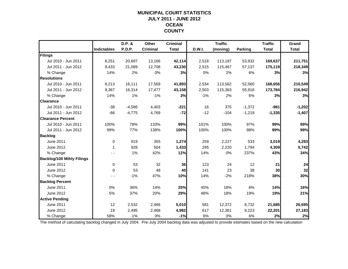### **MUNICIPAL COURT STATISTICSJULY 2011 - JUNE 2012 OCEAN COUNTY**

|                                  |                    | D.P. &        | Other           | <b>Criminal</b> |        | <b>Traffic</b> |          | <b>Traffic</b> | Grand        |
|----------------------------------|--------------------|---------------|-----------------|-----------------|--------|----------------|----------|----------------|--------------|
|                                  | <b>Indictables</b> | <b>P.D.P.</b> | <b>Criminal</b> | <b>Total</b>    | D.W.I. | (moving)       | Parking  | <b>Total</b>   | <b>Total</b> |
| Filings                          |                    |               |                 |                 |        |                |          |                |              |
| Jul 2010 - Jun 2011              | 8,251              | 20,697        | 13,166          | 42,114          | 2,518  | 113,187        | 53,932   | 169,637        | 211,751      |
| Jul 2011 - Jun 2012              | 9,433              | 21,089        | 12,708          | 43,230          | 2,515  | 115,467        | 57,137   | 175,119        | 218,349      |
| % Change                         | 14%                | 2%            | $-3%$           | 3%              | 0%     | 2%             | 6%       | 3%             | 3%           |
| <b>Resolutions</b>               |                    |               |                 |                 |        |                |          |                |              |
| Jul 2010 - Jun 2011              | 8,213              | 16,111        | 17,569          | 41,893          | 2,534  | 113,562        | 52,560   | 168,656        | 210,549      |
| Jul 2011 - Jun 2012              | 9,367              | 16,314        | 17,477          | 43,158          | 2,503  | 115,363        | 55,918   | 173,784        | 216,942      |
| % Change                         | 14%                | 1%            | $-1%$           | 3%              | $-1%$  | 2%             | 6%       | 3%             | 3%           |
| <b>Clearance</b>                 |                    |               |                 |                 |        |                |          |                |              |
| Jul 2010 - Jun 2011              | $-38$              | $-4,586$      | 4,403           | $-221$          | 16     | 375            | $-1,372$ | $-981$         | $-1,202$     |
| Jul 2011 - Jun 2012              | $-66$              | $-4,775$      | 4,769           | $-72$           | $-12$  | $-104$         | $-1,219$ | $-1,335$       | $-1,407$     |
| <b>Clearance Percent</b>         |                    |               |                 |                 |        |                |          |                |              |
| Jul 2010 - Jun 2011              | 100%               | 78%           | 133%            | 99%             | 101%   | 100%           | 97%      | 99%            | 99%          |
| Jul 2011 - Jun 2012              | 99%                | 77%           | 138%            | 100%            | 100%   | 100%           | 98%      | 99%            | 99%          |
| <b>Backlog</b>                   |                    |               |                 |                 |        |                |          |                |              |
| <b>June 2011</b>                 | $\mathbf 0$        | 919           | 355             | 1,274           | 259    | 2,227          | 533      | 3,019          | 4,293        |
| June 2012                        | 1                  | 928           | 504             | 1,433           | 295    | 2,220          | 1,794    | 4,309          | 5,742        |
| % Change                         |                    | 1%            | 42%             | 12%             | 14%    | 0%             | 237%     | 43%            | 34%          |
| <b>Backlog/100 Mthly Filings</b> |                    |               |                 |                 |        |                |          |                |              |
| June 2011                        | $\mathbf 0$        | 53            | 32              | 36              | 123    | 24             | 12       | 21             | 24           |
| June 2012                        | $\Omega$           | 53            | 48              | 40              | 141    | 23             | 38       | 30             | 32           |
| % Change                         |                    | $-1%$         | 47%             | 10%             | 14%    | $-2%$          | 218%     | 38%            | 30%          |
| <b>Backlog Percent</b>           |                    |               |                 |                 |        |                |          |                |              |
| <b>June 2011</b>                 | 0%                 | 36%           | 14%             | 25%             | 45%    | 18%            | 6%       | 14%            | 16%          |
| June 2012                        | 5%                 | 37%           | 20%             | 29%             | 48%    | 18%            | 19%      | 19%            | 21%          |
| <b>Active Pending</b>            |                    |               |                 |                 |        |                |          |                |              |
| <b>June 2011</b>                 | 12                 | 2,532         | 2,466           | 5,010           | 581    | 12,372         | 8,732    | 21,685         | 26,695       |
| June 2012                        | 19                 | 2,495         | 2,468           | 4,982           | 617    | 12,361         | 9,223    | 22,201         | 27,183       |
| % Change                         | 58%                | $-1%$         | 0%              | $-1%$           | 6%     | 0%             | 6%       | 2%             | 2%           |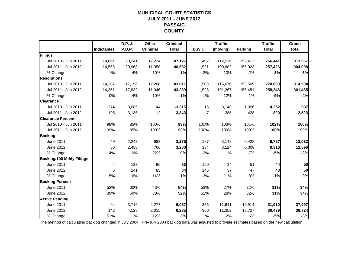### **MUNICIPAL COURT STATISTICSJULY 2011 - JUNE 2012 PASSAIC COUNTY**

|                                  |                    | D.P. &        | Other           | <b>Criminal</b> |                | <b>Traffic</b> |                | <b>Traffic</b> | Grand        |
|----------------------------------|--------------------|---------------|-----------------|-----------------|----------------|----------------|----------------|----------------|--------------|
|                                  | <b>Indictables</b> | <b>P.D.P.</b> | <b>Criminal</b> | <b>Total</b>    | D.W.I.         | (moving)       | <b>Parking</b> | <b>Total</b>   | <b>Total</b> |
| Filings                          |                    |               |                 |                 |                |                |                |                |              |
| Jul 2010 - Jun 2011              | 14,661             | 20,241        | 12,224          | 47,126          | 1,492          | 112,536        | 152,413        | 266,441        | 313,567      |
| Jul 2011 - Jun 2012              | 14,556             | 20,968        | 11,058          | 46,582          | 1,521          | 100,882        | 155,023        | 257,426        | 304,008      |
| % Change                         | $-1%$              | 4%            | $-10%$          | $-1%$           | 2%             | $-10%$         | 2%             | $-3%$          | $-3%$        |
| <b>Resolutions</b>               |                    |               |                 |                 |                |                |                |                |              |
| Jul 2010 - Jun 2011              | 14.387             | 17,156        | 12,268          | 43,811          | 1,508          | 115,676        | 153,509        | 270,693        | 314,504      |
| Jul 2011 - Jun 2012              | 14,361             | 17,832        | 11,046          | 43,239          | 1,528          | 101,267        | 155,451        | 258,246        | 301,485      |
| % Change                         | 0%                 | 4%            | $-10%$          | $-1%$           | 1%             | $-12%$         | 1%             | $-5%$          | $-4%$        |
| <b>Clearance</b>                 |                    |               |                 |                 |                |                |                |                |              |
| Jul 2010 - Jun 2011              | $-274$             | $-3,085$      | 44              | $-3,315$        | 16             | 3,140          | 1,096          | 4,252          | 937          |
| Jul 2011 - Jun 2012              | $-195$             | $-3,136$      | $-12$           | $-3,343$        | $\overline{7}$ | 385            | 428            | 820            | $-2,523$     |
| <b>Clearance Percent</b>         |                    |               |                 |                 |                |                |                |                |              |
| Jul 2010 - Jun 2011              | 98%                | 85%           | 100%            | 93%             | 101%           | 103%           | 101%           | 102%           | 100%         |
| Jul 2011 - Jun 2012              | 99%                | 85%           | 100%            | 93%             | 100%           | 100%           | 100%           | 100%           | 99%          |
| <b>Backlog</b>                   |                    |               |                 |                 |                |                |                |                |              |
| <b>June 2011</b>                 | 49                 | 2,243         | 983             | 3,275           | 187            | 3,142          | 6,428          | 9,757          | 13,032       |
| June 2012                        | 56                 | 2,458         | 766             | 3,280           | 184            | 3,124          | 6,008          | 9,316          | 12,596       |
| % Change                         | 14%                | 10%           | $-22%$          | 0%              | $-2%$          | $-1%$          | $-7%$          | $-5%$          | $-3%$        |
| <b>Backlog/100 Mthly Filings</b> |                    |               |                 |                 |                |                |                |                |              |
| June 2011                        | 4                  | 133           | 96              | 83              | 150            | 34             | 51             | 44             | 50           |
| June 2012                        | 5                  | 141           | 83              | 84              | 145            | 37             | 47             | 43             | 50           |
| % Change                         | 15%                | 6%            | $-14%$          | 1%              | $-3%$          | 11%            | $-8%$          | $-1%$          | 0%           |
| <b>Backlog Percent</b>           |                    |               |                 |                 |                |                |                |                |              |
| June 2011                        | 52%                | 60%           | 43%             | 54%             | 53%            | 27%            | 32%            | 31%            | 34%          |
| June 2012                        | 39%                | 60%           | 38%             | 52%             | 51%            | 28%            | 32%            | 31%            | 34%          |
| <b>Active Pending</b>            |                    |               |                 |                 |                |                |                |                |              |
| <b>June 2011</b>                 | 94                 | 3,716         | 2,277           | 6,087           | 355            | 11.641         | 19,914         | 31,910         | 37,997       |
| June 2012                        | 142                | 4,128         | 2,015           | 6,285           | 360            | 11,352         | 18,727         | 30,439         | 36,724       |
| % Change                         | 51%                | 11%           | $-12%$          | 3%              | 1%             | $-2%$          | $-6%$          | $-5%$          | $-3%$        |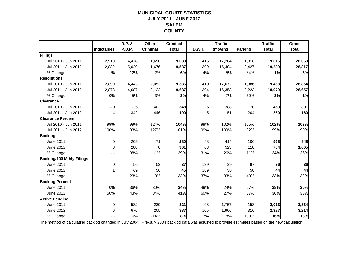### **MUNICIPAL COURT STATISTICSJULY 2011 - JUNE 2012 SALEMCOUNTY**

|                                  |                    | D.P. & | Other           | <b>Criminal</b> |        | <b>Traffic</b> |         | <b>Traffic</b> | Grand        |
|----------------------------------|--------------------|--------|-----------------|-----------------|--------|----------------|---------|----------------|--------------|
|                                  | <b>Indictables</b> | P.D.P. | <b>Criminal</b> | <b>Total</b>    | D.W.I. | (moving)       | Parking | <b>Total</b>   | <b>Total</b> |
| Filings                          |                    |        |                 |                 |        |                |         |                |              |
| Jul 2010 - Jun 2011              | 2,910              | 4,478  | 1,650           | 9,038           | 415    | 17,284         | 1,316   | 19,015         | 28,053       |
| Jul 2011 - Jun 2012              | 2,882              | 5,029  | 1,676           | 9,587           | 399    | 16,404         | 2,427   | 19,230         | 28,817       |
| % Change                         | $-1%$              | 12%    | 2%              | 6%              | $-4%$  | $-5%$          | 84%     | 1%             | 3%           |
| <b>Resolutions</b>               |                    |        |                 |                 |        |                |         |                |              |
| Jul 2010 - Jun 2011              | 2,890              | 4,443  | 2,053           | 9,386           | 410    | 17,672         | 1,386   | 19,468         | 28,854       |
| Jul 2011 - Jun 2012              | 2,878              | 4,687  | 2,122           | 9,687           | 394    | 16,353         | 2,223   | 18,970         | 28,657       |
| % Change                         | 0%                 | 5%     | 3%              | 3%              | $-4%$  | $-7%$          | 60%     | $-3%$          | $-1%$        |
| <b>Clearance</b>                 |                    |        |                 |                 |        |                |         |                |              |
| Jul 2010 - Jun 2011              | $-20$              | $-35$  | 403             | 348             | $-5$   | 388            | 70      | 453            | 801          |
| Jul 2011 - Jun 2012              | $-4$               | $-342$ | 446             | 100             | $-5$   | $-51$          | $-204$  | $-260$         | $-160$       |
| <b>Clearance Percent</b>         |                    |        |                 |                 |        |                |         |                |              |
| Jul 2010 - Jun 2011              | 99%                | 99%    | 124%            | 104%            | 99%    | 102%           | 105%    | 102%           | 103%         |
| Jul 2011 - Jun 2012              | 100%               | 93%    | 127%            | 101%            | 99%    | 100%           | 92%     | 99%            | 99%          |
| <b>Backlog</b>                   |                    |        |                 |                 |        |                |         |                |              |
| June 2011                        | $\Omega$           | 209    | 71              | 280             | 48     | 414            | 106     | 568            | 848          |
| June 2012                        | 3                  | 288    | 70              | 361             | 63     | 523            | 118     | 704            | 1,065        |
| % Change                         |                    | 38%    | $-1%$           | 29%             | 31%    | 26%            | 11%     | 24%            | 26%          |
| <b>Backlog/100 Mthly Filings</b> |                    |        |                 |                 |        |                |         |                |              |
| <b>June 2011</b>                 | 0                  | 56     | 52              | 37              | 139    | 29             | 97      | 36             | 36           |
| June 2012                        | 1                  | 69     | 50              | 45              | 189    | 38             | 58      | 44             | 44           |
| % Change                         |                    | 23%    | $-3%$           | 22%             | 37%    | 33%            | $-40%$  | 23%            | 22%          |
| <b>Backlog Percent</b>           |                    |        |                 |                 |        |                |         |                |              |
| <b>June 2011</b>                 | 0%                 | 36%    | 30%             | 34%             | 49%    | 24%            | 67%     | 28%            | 30%          |
| June 2012                        | 50%                | 43%    | 34%             | 41%             | 60%    | 27%            | 37%     | 30%            | 33%          |
| <b>Active Pending</b>            |                    |        |                 |                 |        |                |         |                |              |
| <b>June 2011</b>                 | $\mathbf 0$        | 582    | 239             | 821             | 98     | 1,757          | 158     | 2,013          | 2,834        |
| June 2012                        | 6                  | 676    | 205             | 887             | 105    | 1,906          | 316     | 2,327          | 3,214        |
| % Change                         |                    | 16%    | $-14%$          | 8%              | 7%     | 8%             | 100%    | 16%            | 13%          |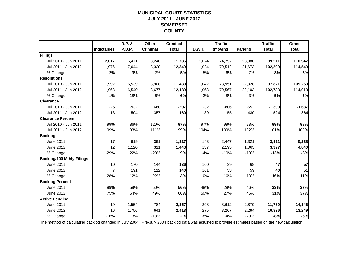### **MUNICIPAL COURT STATISTICSJULY 2011 - JUNE 2012 SOMERSET COUNTY**

|                                  |                    | D.P. & | Other           | <b>Criminal</b> |        | <b>Traffic</b> |                | <b>Traffic</b> | Grand        |
|----------------------------------|--------------------|--------|-----------------|-----------------|--------|----------------|----------------|----------------|--------------|
|                                  | <b>Indictables</b> | P.D.P. | <b>Criminal</b> | <b>Total</b>    | D.W.I. | (moving)       | <b>Parking</b> | <b>Total</b>   | <b>Total</b> |
| Filings                          |                    |        |                 |                 |        |                |                |                |              |
| Jul 2010 - Jun 2011              | 2,017              | 6,471  | 3,248           | 11,736          | 1,074  | 74,757         | 23,380         | 99,211         | 110,947      |
| Jul 2011 - Jun 2012              | 1,976              | 7,044  | 3,320           | 12,340          | 1,024  | 79,512         | 21,673         | 102,209        | 114,549      |
| % Change                         | $-2%$              | 9%     | 2%              | 5%              | $-5%$  | 6%             | $-7%$          | 3%             | 3%           |
| <b>Resolutions</b>               |                    |        |                 |                 |        |                |                |                |              |
| Jul 2010 - Jun 2011              | 1,992              | 5,539  | 3,908           | 11,439          | 1,042  | 73,951         | 22,828         | 97,821         | 109,260      |
| Jul 2011 - Jun 2012              | 1,963              | 6,540  | 3,677           | 12,180          | 1,063  | 79,567         | 22,103         | 102,733        | 114,913      |
| % Change                         | $-1%$              | 18%    | $-6%$           | 6%              | 2%     | 8%             | $-3%$          | 5%             | 5%           |
| <b>Clearance</b>                 |                    |        |                 |                 |        |                |                |                |              |
| Jul 2010 - Jun 2011              | $-25$              | $-932$ | 660             | $-297$          | $-32$  | $-806$         | $-552$         | $-1,390$       | $-1,687$     |
| Jul 2011 - Jun 2012              | $-13$              | $-504$ | 357             | $-160$          | 39     | 55             | 430            | 524            | 364          |
| <b>Clearance Percent</b>         |                    |        |                 |                 |        |                |                |                |              |
| Jul 2010 - Jun 2011              | 99%                | 86%    | 120%            | 97%             | 97%    | 99%            | 98%            | 99%            | 98%          |
| Jul 2011 - Jun 2012              | 99%                | 93%    | 111%            | 99%             | 104%   | 100%           | 102%           | 101%           | 100%         |
| <b>Backlog</b>                   |                    |        |                 |                 |        |                |                |                |              |
| June 2011                        | 17                 | 919    | 391             | 1,327           | 143    | 2,447          | 1,321          | 3,911          | 5,238        |
| June 2012                        | 12                 | 1,120  | 311             | 1,443           | 137    | 2,195          | 1,065          | 3,397          | 4,840        |
| % Change                         | $-29%$             | 22%    | $-20%$          | 9%              | $-4%$  | $-10%$         | $-19%$         | $-13%$         | $-8%$        |
| <b>Backlog/100 Mthly Filings</b> |                    |        |                 |                 |        |                |                |                |              |
| June 2011                        | 10                 | 170    | 144             | 136             | 160    | 39             | 68             | 47             | 57           |
| <b>June 2012</b>                 | $\overline{7}$     | 191    | 112             | 140             | 161    | 33             | 59             | 40             | 51           |
| % Change                         | $-28%$             | 12%    | $-22%$          | 3%              | 0%     | $-16%$         | $-13%$         | $-16%$         | $-11%$       |
| <b>Backlog Percent</b>           |                    |        |                 |                 |        |                |                |                |              |
| <b>June 2011</b>                 | 89%                | 59%    | 50%             | 56%             | 48%    | 28%            | 46%            | 33%            | 37%          |
| <b>June 2012</b>                 | 75%                | 64%    | 49%             | 60%             | 50%    | 27%            | 46%            | 31%            | 37%          |
| <b>Active Pending</b>            |                    |        |                 |                 |        |                |                |                |              |
| <b>June 2011</b>                 | 19                 | 1,554  | 784             | 2,357           | 298    | 8,612          | 2,879          | 11,789         | 14,146       |
| June 2012                        | 16                 | 1,756  | 641             | 2,413           | 275    | 8,267          | 2,294          | 10,836         | 13,249       |
| % Change                         | $-16%$             | 13%    | $-18%$          | 2%              | $-8%$  | $-4%$          | $-20%$         | $-8%$          | $-6%$        |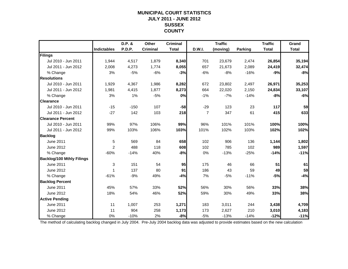### **MUNICIPAL COURT STATISTICSJULY 2011 - JUNE 2012 SUSSEX COUNTY**

|                                  |                    | D.P. & | Other           | <b>Criminal</b> |               | <b>Traffic</b> |                | <b>Traffic</b> | Grand        |
|----------------------------------|--------------------|--------|-----------------|-----------------|---------------|----------------|----------------|----------------|--------------|
|                                  | <b>Indictables</b> | P.D.P. | <b>Criminal</b> | <b>Total</b>    | <b>D.W.I.</b> | (moving)       | <b>Parking</b> | <b>Total</b>   | <b>Total</b> |
| Filings                          |                    |        |                 |                 |               |                |                |                |              |
| Jul 2010 - Jun 2011              | 1.944              | 4,517  | 1,879           | 8,340           | 701           | 23,679         | 2,474          | 26,854         | 35,194       |
| Jul 2011 - Jun 2012              | 2,008              | 4,273  | 1,774           | 8,055           | 657           | 21,673         | 2,089          | 24,419         | 32,474       |
| % Change                         | 3%                 | $-5%$  | $-6%$           | $-3%$           | $-6%$         | $-8%$          | $-16%$         | $-9%$          | $-8%$        |
| <b>Resolutions</b>               |                    |        |                 |                 |               |                |                |                |              |
| Jul 2010 - Jun 2011              | 1,929              | 4,367  | 1,986           | 8,282           | 672           | 23,802         | 2,497          | 26,971         | 35,253       |
| Jul 2011 - Jun 2012              | 1,981              | 4,415  | 1,877           | 8,273           | 664           | 22,020         | 2,150          | 24,834         | 33,107       |
| % Change                         | 3%                 | 1%     | $-5%$           | 0%              | $-1%$         | $-7%$          | $-14%$         | $-8%$          | $-6%$        |
| <b>Clearance</b>                 |                    |        |                 |                 |               |                |                |                |              |
| Jul 2010 - Jun 2011              | $-15$              | $-150$ | 107             | $-58$           | $-29$         | 123            | 23             | 117            | 59           |
| Jul 2011 - Jun 2012              | $-27$              | 142    | 103             | 218             | 7             | 347            | 61             | 415            | 633          |
| <b>Clearance Percent</b>         |                    |        |                 |                 |               |                |                |                |              |
| Jul 2010 - Jun 2011              | 99%                | 97%    | 106%            | 99%             | 96%           | 101%           | 101%           | 100%           | 100%         |
| Jul 2011 - Jun 2012              | 99%                | 103%   | 106%            | 103%            | 101%          | 102%           | 103%           | 102%           | 102%         |
| <b>Backlog</b>                   |                    |        |                 |                 |               |                |                |                |              |
| <b>June 2011</b>                 | 5                  | 569    | 84              | 658             | 102           | 906            | 136            | 1,144          | 1,802        |
| June 2012                        | 2                  | 488    | 118             | 608             | 102           | 785            | 102            | 989            | 1,597        |
| % Change                         | $-60%$             | $-14%$ | 40%             | $-8%$           | 0%            | $-13%$         | $-25%$         | $-14%$         | $-11%$       |
| <b>Backlog/100 Mthly Filings</b> |                    |        |                 |                 |               |                |                |                |              |
| <b>June 2011</b>                 | 3                  | 151    | 54              | 95              | 175           | 46             | 66             | 51             | 61           |
| June 2012                        | 1                  | 137    | 80              | 91              | 186           | 43             | 59             | 49             | 59           |
| % Change                         | $-61%$             | $-9%$  | 49%             | $-4%$           | 7%            | $-5%$          | $-11%$         | $-5%$          | $-4%$        |
| <b>Backlog Percent</b>           |                    |        |                 |                 |               |                |                |                |              |
| <b>June 2011</b>                 | 45%                | 57%    | 33%             | 52%             | 56%           | 30%            | 56%            | 33%            | 38%          |
| June 2012                        | 18%                | 54%    | 46%             | 52%             | 59%           | 30%            | 49%            | 33%            | 38%          |
| <b>Active Pending</b>            |                    |        |                 |                 |               |                |                |                |              |
| <b>June 2011</b>                 | 11                 | 1,007  | 253             | 1,271           | 183           | 3,011          | 244            | 3,438          | 4,709        |
| June 2012                        | 11                 | 904    | 258             | 1,173           | 173           | 2,627          | 210            | 3,010          | 4,183        |
| % Change                         | 0%                 | $-10%$ | 2%              | $-8%$           | $-5%$         | $-13%$         | $-14%$         | $-12%$         | $-11%$       |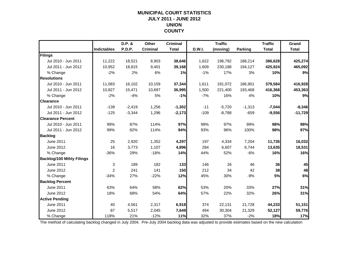### **MUNICIPAL COURT STATISTICSJULY 2011 - JUNE 2012 UNION COUNTY**

|                                  |                    | D.P. &   | Other           | <b>Criminal</b> |        | <b>Traffic</b> |                | <b>Traffic</b> | Grand        |
|----------------------------------|--------------------|----------|-----------------|-----------------|--------|----------------|----------------|----------------|--------------|
|                                  | <b>Indictables</b> | P.D.P.   | <b>Criminal</b> | <b>Total</b>    | D.W.I. | (moving)       | <b>Parking</b> | <b>Total</b>   | <b>Total</b> |
| Filings                          |                    |          |                 |                 |        |                |                |                |              |
| Jul 2010 - Jun 2011              | 11,222             | 18,521   | 8,903           | 38,646          | 1,622  | 196,792        | 188,214        | 386,628        | 425,274      |
| Jul 2011 - Jun 2012              | 10,952             | 18,815   | 9,401           | 39,168          | 1,609  | 230,188        | 194,127        | 425,924        | 465,092      |
| % Change                         | $-2%$              | 2%       | 6%              | 1%              | $-1%$  | 17%            | 3%             | 10%            | 9%           |
| <b>Resolutions</b>               |                    |          |                 |                 |        |                |                |                |              |
| Jul 2010 - Jun 2011              | 11,083             | 16,102   | 10,159          | 37,344          | 1,611  | 191,072        | 186,901        | 379,584        | 416,928      |
| Jul 2011 - Jun 2012              | 10,827             | 15,471   | 10,697          | 36,995          | 1,500  | 221,400        | 193,468        | 416,368        | 453,363      |
| % Change                         | $-2%$              | $-4%$    | 5%              | $-1%$           | $-7%$  | 16%            | 4%             | 10%            | 9%           |
| <b>Clearance</b>                 |                    |          |                 |                 |        |                |                |                |              |
| Jul 2010 - Jun 2011              | $-139$             | $-2,419$ | 1,256           | $-1,302$        | $-11$  | $-5,720$       | $-1,313$       | $-7,044$       | $-8,346$     |
| Jul 2011 - Jun 2012              | $-125$             | $-3,344$ | 1,296           | $-2,173$        | $-109$ | $-8,788$       | $-659$         | $-9,556$       | $-11,729$    |
| <b>Clearance Percent</b>         |                    |          |                 |                 |        |                |                |                |              |
| Jul 2010 - Jun 2011              | 99%                | 87%      | 114%            | 97%             | 99%    | 97%            | 99%            | 98%            | 98%          |
| Jul 2011 - Jun 2012              | 99%                | 82%      | 114%            | 94%             | 93%    | 96%            | 100%           | 98%            | 97%          |
| <b>Backlog</b>                   |                    |          |                 |                 |        |                |                |                |              |
| June 2011                        | 25                 | 2,920    | 1,352           | 4,297           | 197    | 4,334          | 7,204          | 11,735         | 16,032       |
| June 2012                        | 16                 | 3,773    | 1,107           | 4,896           | 284    | 6,607          | 6,744          | 13,635         | 18,531       |
| % Change                         | $-36%$             | 29%      | $-18%$          | 14%             | 44%    | 52%            | $-6%$          | 16%            | 16%          |
| <b>Backlog/100 Mthly Filings</b> |                    |          |                 |                 |        |                |                |                |              |
| June 2011                        | 3                  | 189      | 182             | $133$           | 146    | 26             | 46             | 36             | 45           |
| June 2012                        | $\overline{2}$     | 241      | 141             | 150             | 212    | 34             | 42             | 38             | 48           |
| % Change                         | $-34%$             | 27%      | $-22%$          | 12%             | 45%    | 30%            | $-9%$          | 5%             | 6%           |
| <b>Backlog Percent</b>           |                    |          |                 |                 |        |                |                |                |              |
| <b>June 2011</b>                 | 63%                | 64%      | 58%             | 62%             | 53%    | 20%            | 33%            | 27%            | 31%          |
| June 2012                        | 18%                | 68%      | 54%             | 64%             | 57%    | 22%            | 32%            | 26%            | 31%          |
| <b>Active Pending</b>            |                    |          |                 |                 |        |                |                |                |              |
| <b>June 2011</b>                 | 40                 | 4,561    | 2,317           | 6,918           | 374    | 22,131         | 21,728         | 44,233         | 51,151       |
| June 2012                        | 87                 | 5,517    | 2,045           | 7,649           | 494    | 30,304         | 21,329         | 52,127         | 59,776       |
| % Change                         | 118%               | 21%      | $-12%$          | 11%             | 32%    | 37%            | $-2%$          | 18%            | 17%          |